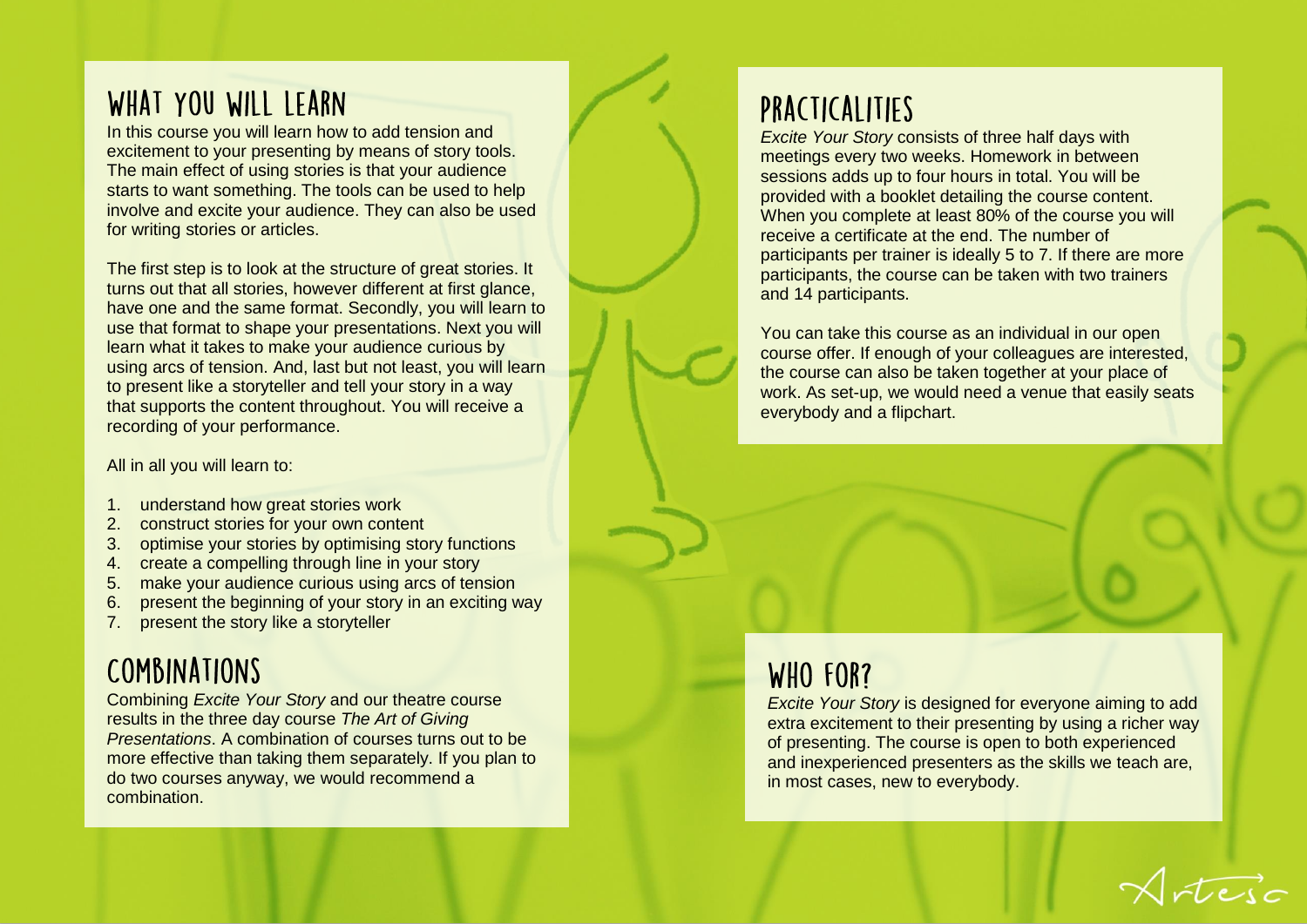### WHAT YOU WILL LEARN

In this course you will learn how to add tension and excitement to your presenting by means of story tools. The main effect of using stories is that your audience starts to want something. The tools can be used to help involve and excite your audience. They can also be used for writing stories or articles.

The first step is to look at the structure of great stories. It turns out that all stories, however different at first glance, have one and the same format. Secondly, you will learn to use that format to shape your presentations. Next you will learn what it takes to make your audience curious by using arcs of tension. And, last but not least, you will learn to present like a storyteller and tell your story in a way that supports the content throughout. You will receive a recording of your performance.

All in all you will learn to:

- 1. understand how great stories work
- 2. construct stories for your own content
- 3. optimise your stories by optimising story functions
- 4. create a compelling through line in your story
- 5. make your audience curious using arcs of tension
- 6. present the beginning of your story in an exciting way
- 7. present the story like a storyteller

# COMBINATIONS

Combining *Excite Your Story* and our theatre course results in the three day course *The Art of Giving Presentations*. A combination of courses turns out to be more effective than taking them separately. If you plan to do two courses anyway, we would recommend a combination.

## PRACTICALITIES

*Excite Your Story* consists of three half days with meetings every two weeks. Homework in between sessions adds up to four hours in total. You will be provided with a booklet detailing the course content. When you complete at least 80% of the course you will receive a certificate at the end. The number of participants per trainer is ideally 5 to 7. If there are more participants, the course can be taken with two trainers and 14 participants.

You can take this course as an individual in our open course offer. If enough of your colleagues are interested, the course can also be taken together at your place of work. As set-up, we would need a venue that easily seats everybody and a flipchart.

#### WHO FOR?

*Excite Your Story* is designed for everyone aiming to add extra excitement to their presenting by using a richer way of presenting. The course is open to both experienced and inexperienced presenters as the skills we teach are, in most cases, new to everybody.